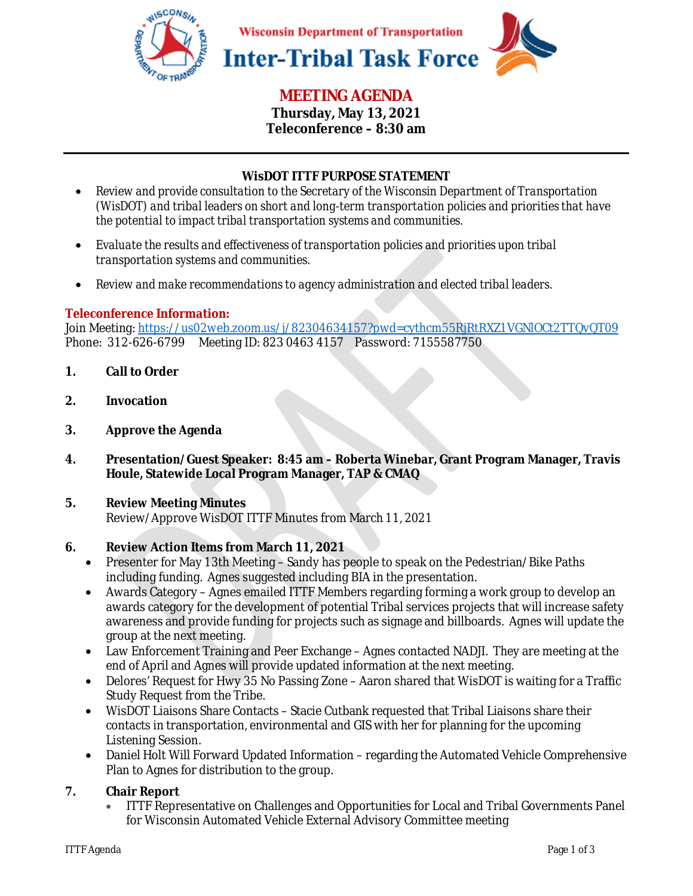

# **MEETING AGENDA**

**Thursday, May 13, 2021 Teleconference – 8:30 am** 

## **WisDOT ITTF PURPOSE STATEMENT**

- *Review and provide consultation to the Secretary of the Wisconsin Department of Transportation (WisDOT) and tribal leaders on short and long-term transportation policies and priorities that have the potential to impact tribal transportation systems and communities.*
- *Evaluate the results and effectiveness of transportation policies and priorities upon tribal transportation systems and communities.*
- *Review and make recommendations to agency administration and elected tribal leaders.*

## **Teleconference Information:**

Join Meeting: https://us02web.zoom.us/j/82304634157?pwd=cythcm55RjRtRXZ1VGNlOCt2TTQvQT09 Phone: 312-626-6799 Meeting ID: 823 0463 4157 Password: 7155587750

- **1. Call to Order**
- **2. Invocation**
- **3. Approve the Agenda**
- **4. Presentation/Guest Speaker: 8:45 am Roberta Winebar, Grant Program Manager, Travis Houle, Statewide Local Program Manager, TAP & CMAQ**

#### **5. Review Meeting Minutes**  Review/Approve WisDOT ITTF Minutes from March 11, 2021

#### **6. Review Action Items from March 11, 2021**

- Presenter for May 13th Meeting Sandy has people to speak on the Pedestrian/Bike Paths including funding. Agnes suggested including BIA in the presentation.
- Awards Category Agnes emailed ITTF Members regarding forming a work group to develop an awards category for the development of potential Tribal services projects that will increase safety awareness and provide funding for projects such as signage and billboards. Agnes will update the group at the next meeting.
- Law Enforcement Training and Peer Exchange Agnes contacted NADJI. They are meeting at the end of April and Agnes will provide updated information at the next meeting.
- Delores' Request for Hwy 35 No Passing Zone Aaron shared that WisDOT is waiting for a Traffic Study Request from the Tribe.
- WisDOT Liaisons Share Contacts Stacie Cutbank requested that Tribal Liaisons share their contacts in transportation, environmental and GIS with her for planning for the upcoming Listening Session.
- Daniel Holt Will Forward Updated Information regarding the Automated Vehicle Comprehensive Plan to Agnes for distribution to the group.

#### **7. Chair Report**

• ITTF Representative on Challenges and Opportunities for Local and Tribal Governments Panel for Wisconsin Automated Vehicle External Advisory Committee meeting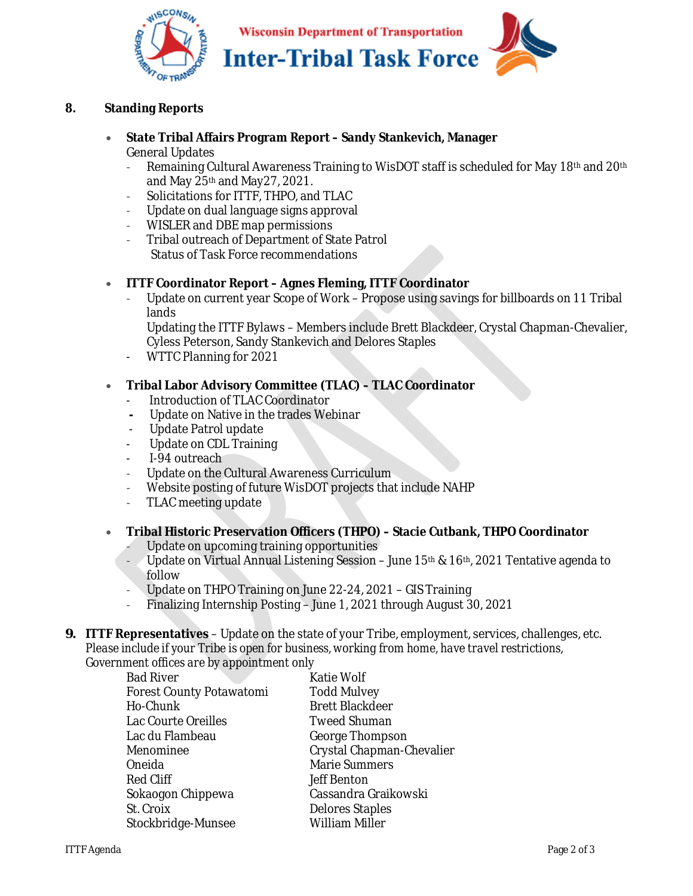

## **8. Standing Reports**

#### • **State Tribal Affairs Program Report – Sandy Stankevich, Manager**  General Updates

- Remaining Cultural Awareness Training to WisDOT staff is scheduled for May 18th and 20th and May 25th and May27, 2021.
- Solicitations for ITTF, THPO, and TLAC
- Update on dual language signs approval
- WISLER and DBE map permissions
- Tribal outreach of Department of State Patrol Status of Task Force recommendations

#### • **ITTF Coordinator Report – Agnes Fleming, ITTF Coordinator**

- Update on current year Scope of Work – Propose using savings for billboards on 11 Tribal lands

Updating the ITTF Bylaws – Members include Brett Blackdeer, Crystal Chapman-Chevalier, Cyless Peterson, Sandy Stankevich and Delores Staples

- WTTC Planning for 2021

#### • **Tribal Labor Advisory Committee (TLAC) – TLAC Coordinator**

- Introduction of TLAC Coordinator
- Update on Native in the trades Webinar
- Update Patrol update
- Update on CDL Training
- I-94 outreach
- Update on the Cultural Awareness Curriculum
- Website posting of future WisDOT projects that include NAHP
- TLAC meeting update
- **Tribal Historic Preservation Officers (THPO) Stacie Cutbank, THPO Coordinator** 
	- Update on upcoming training opportunities
	- Update on Virtual Annual Listening Session June 15th & 16th, 2021 Tentative agenda to follow
	- Update on THPO Training on June 22-24, 2021 GIS Training
	- Finalizing Internship Posting June 1, 2021 through August 30, 2021

*9.* **ITTF Representatives** – Update on the state of your Tribe, employment, services, challenges, etc. *Please include if your Tribe is open for business, working from home, have travel restrictions, Government offices are by appointment only* 

| <b>Bad River</b>                | <b>Katie Wolf</b>         |
|---------------------------------|---------------------------|
| <b>Forest County Potawatomi</b> | <b>Todd Mulvey</b>        |
| Ho-Chunk                        | <b>Brett Blackdeer</b>    |
| Lac Courte Oreilles             | <b>Tweed Shuman</b>       |
| Lac du Flambeau                 | <b>George Thompson</b>    |
| Menominee                       | Crystal Chapman-Chevalier |
| Oneida                          | <b>Marie Summers</b>      |
| <b>Red Cliff</b>                | <b>Jeff Benton</b>        |
| Sokaogon Chippewa               | Cassandra Graikowski      |
| St. Croix                       | <b>Delores Staples</b>    |
| Stockbridge-Munsee              | <b>William Miller</b>     |